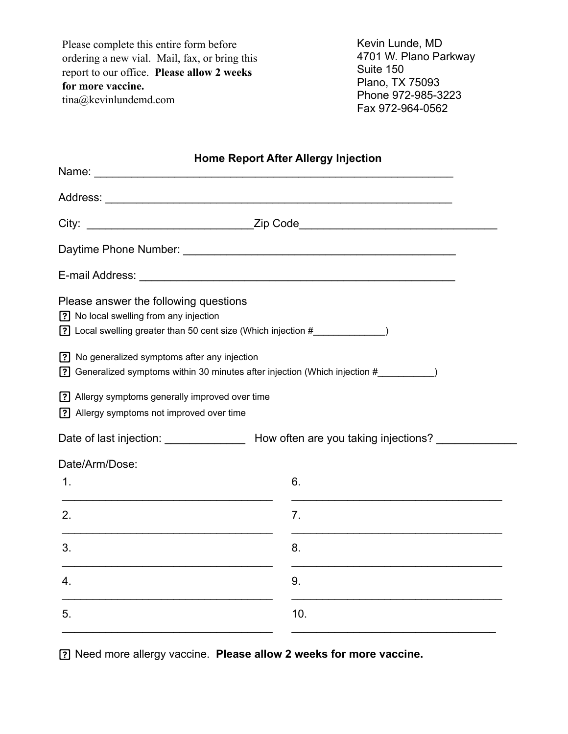Please complete this entire form before ordering a new vial. Mail, fax, or bring this report to our office. **Please allow 2 weeks for more vaccine.**  tina@kevinlundemd.com

Kevin Lunde, MD 4701 W. Plano Parkway Suite 150 Plano, TX 75093 Phone 972-985-3223 Fax 972-964-0562

| <b>Home Report After Allergy Injection</b>                                                                                                         |                                                                                       |
|----------------------------------------------------------------------------------------------------------------------------------------------------|---------------------------------------------------------------------------------------|
|                                                                                                                                                    |                                                                                       |
|                                                                                                                                                    |                                                                                       |
|                                                                                                                                                    |                                                                                       |
|                                                                                                                                                    |                                                                                       |
| Please answer the following questions<br>? No local swelling from any injection<br>[?] Local swelling greater than 50 cent size (Which injection # |                                                                                       |
| [?] No generalized symptoms after any injection                                                                                                    | [?] Generalized symptoms within 30 minutes after injection (Which injection #         |
| [?] Allergy symptoms generally improved over time<br>[?] Allergy symptoms not improved over time                                                   |                                                                                       |
|                                                                                                                                                    | Date of last injection: _________________ How often are you taking injections? ______ |
| Date/Arm/Dose:                                                                                                                                     |                                                                                       |
| 1.                                                                                                                                                 | 6.                                                                                    |
| 2.                                                                                                                                                 | 7.                                                                                    |
| 3.                                                                                                                                                 | 8.                                                                                    |
| 4.                                                                                                                                                 | 9.                                                                                    |
| 5.                                                                                                                                                 | 10.                                                                                   |

Need more allergy vaccine. **Please allow 2 weeks for more vaccine.**